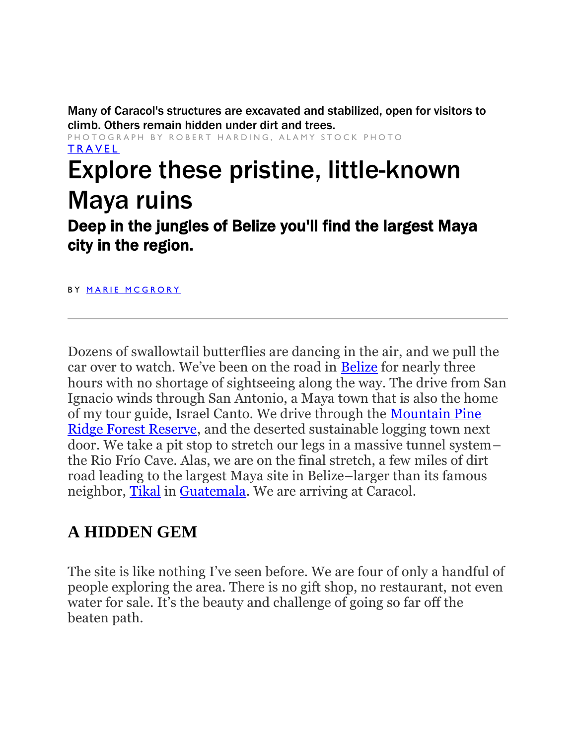Many of Caracol's structures are excavated and stabilized, open for visitors to climb. Others remain hidden under dirt and trees.

PHOTOGRAPH BY ROBERT HARDING, ALAMY STOCK PHOTO **TRAVEL** 

## Explore these pristine, little-known Maya ruins

Deep in the jungles of Belize you'll find the largest Maya city in the region.

BY MARIE MCGRORY

Dozens of swallowtail butterflies are dancing in the air, and we pull the car over to watch. We've been on the road in [Belize](https://www.nationalgeographic.com/travel/destinations/north-america/belize/) for nearly three hours with no shortage of sightseeing along the way. The drive from San Ignacio winds through San Antonio, a Maya town that is also the home of my tour guide, Israel Canto. We drive through the [Mountain Pine](https://www.belizeadventure.ca/things-to-do-in-mountain-pine-ridge-forest-reserve/)  [Ridge Forest Reserve,](https://www.belizeadventure.ca/things-to-do-in-mountain-pine-ridge-forest-reserve/) and the deserted sustainable logging town next door. We take a pit stop to stretch our legs in a massive tunnel system– the Rio Frío Cave. Alas, we are on the final stretch, a few miles of dirt road leading to the largest Maya site in Belize–larger than its famous neighbor, [Tikal](https://news.nationalgeographic.com/2018/02/maya-laser-lidar-guatemala-pacunam/) in [Guatemala.](https://www.nationalgeographic.com/travel/destinations/north-america/guatemala/) We are arriving at Caracol.

## **A HIDDEN GEM**

The site is like nothing I've seen before. We are four of only a handful of people exploring the area. There is no gift shop, no restaurant, not even water for sale. It's the beauty and challenge of going so far off the beaten path.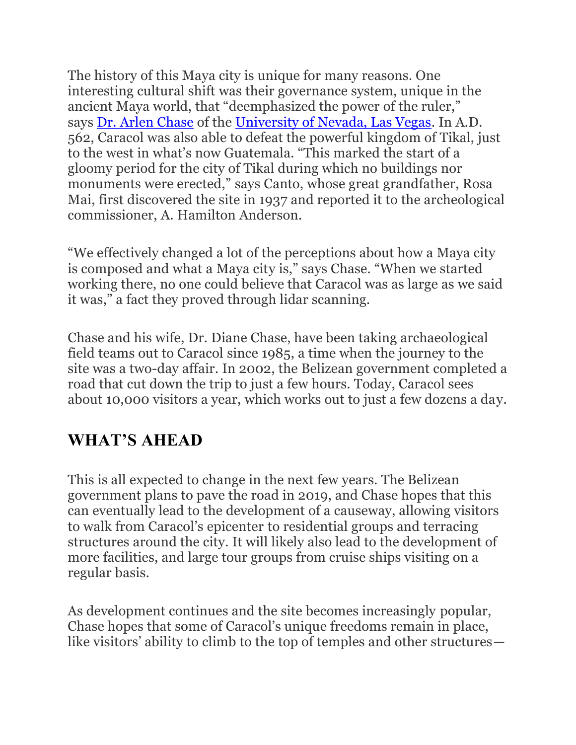The history of this Maya city is unique for many reasons. One interesting cultural shift was their governance system, unique in the ancient Maya world, that "deemphasized the power of the ruler," says [Dr. Arlen Chase](https://www.caracol.org/drs-chase/publications/) of the [University of Nevada, Las Vegas.](https://www.unlv.edu/people/arlen-chase) In A.D. 562, Caracol was also able to defeat the powerful kingdom of Tikal, just to the west in what's now Guatemala. "This marked the start of a gloomy period for the city of Tikal during which no buildings nor monuments were erected," says Canto, whose great grandfather, Rosa Mai, first discovered the site in 1937 and reported it to the archeological commissioner, A. Hamilton Anderson.

"We effectively changed a lot of the perceptions about how a Maya city is composed and what a Maya city is," says Chase. "When we started working there, no one could believe that Caracol was as large as we said it was," a fact they proved through lidar scanning.

Chase and his wife, Dr. Diane Chase, have been taking archaeological field teams out to Caracol since 1985, a time when the journey to the site was a two-day affair. In 2002, the Belizean government completed a road that cut down the trip to just a few hours. Today, Caracol sees about 10,000 visitors a year, which works out to just a few dozens a day.

## **WHAT'S AHEAD**

This is all expected to change in the next few years. The Belizean government plans to pave the road in 2019, and Chase hopes that this can eventually lead to the development of a causeway, allowing visitors to walk from Caracol's epicenter to residential groups and terracing structures around the city. It will likely also lead to the development of more facilities, and large tour groups from cruise ships visiting on a regular basis.

As development continues and the site becomes increasingly popular, Chase hopes that some of Caracol's unique freedoms remain in place, like visitors' ability to climb to the top of temples and other structures